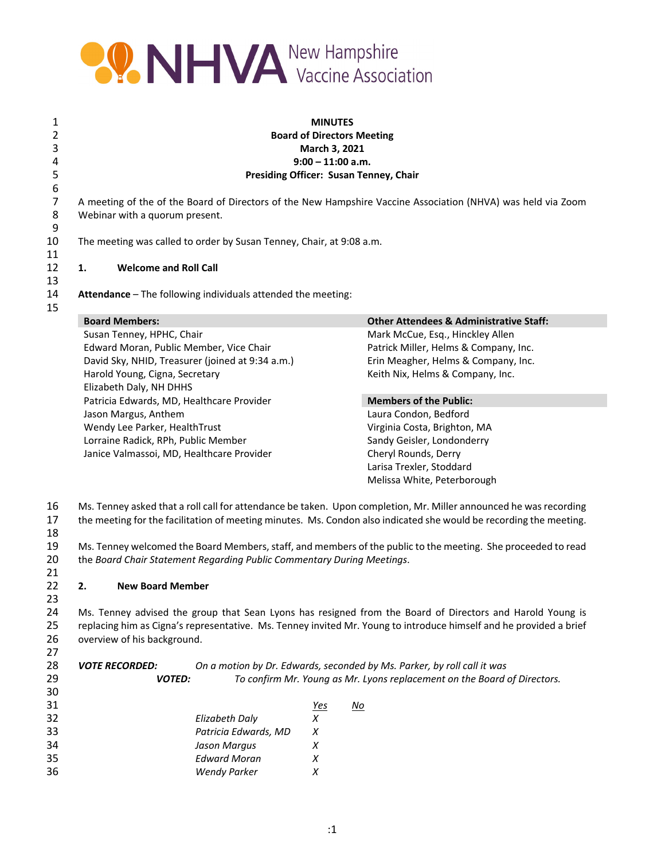

| 1<br>2<br>3    | <b>MINUTES</b><br><b>Board of Directors Meeting</b><br>March 3, 2021                                         |                                                    |  |  |  |  |
|----------------|--------------------------------------------------------------------------------------------------------------|----------------------------------------------------|--|--|--|--|
| 4              | $9:00 - 11:00$ a.m.                                                                                          |                                                    |  |  |  |  |
| 5              | <b>Presiding Officer: Susan Tenney, Chair</b>                                                                |                                                    |  |  |  |  |
| 6              |                                                                                                              |                                                    |  |  |  |  |
| $\overline{7}$ | A meeting of the of the Board of Directors of the New Hampshire Vaccine Association (NHVA) was held via Zoom |                                                    |  |  |  |  |
| 8              | Webinar with a quorum present.                                                                               |                                                    |  |  |  |  |
| 9              |                                                                                                              |                                                    |  |  |  |  |
| 10             | The meeting was called to order by Susan Tenney, Chair, at 9:08 a.m.                                         |                                                    |  |  |  |  |
| 11             |                                                                                                              |                                                    |  |  |  |  |
| 12             | <b>Welcome and Roll Call</b><br>1.                                                                           |                                                    |  |  |  |  |
| 13             |                                                                                                              |                                                    |  |  |  |  |
| 14             | <b>Attendance</b> – The following individuals attended the meeting:                                          |                                                    |  |  |  |  |
| 15             |                                                                                                              |                                                    |  |  |  |  |
|                | <b>Board Members:</b>                                                                                        | <b>Other Attendees &amp; Administrative Staff:</b> |  |  |  |  |
|                | Susan Tenney, HPHC, Chair                                                                                    | Mark McCue, Esq., Hinckley Allen                   |  |  |  |  |
|                | Edward Moran, Public Member, Vice Chair                                                                      | Patrick Miller, Helms & Company, Inc.              |  |  |  |  |
|                | David Sky, NHID, Treasurer (joined at 9:34 a.m.)                                                             | Erin Meagher, Helms & Company, Inc.                |  |  |  |  |
|                | Harold Young, Cigna, Secretary                                                                               | Keith Nix, Helms & Company, Inc.                   |  |  |  |  |
|                | Elizabeth Daly, NH DHHS                                                                                      |                                                    |  |  |  |  |
|                | Patricia Edwards, MD, Healthcare Provider                                                                    | <b>Members of the Public:</b>                      |  |  |  |  |
|                | Jason Margus, Anthem                                                                                         | Laura Condon, Bedford                              |  |  |  |  |
|                | Wendy Lee Parker, HealthTrust                                                                                | Virginia Costa, Brighton, MA                       |  |  |  |  |
|                | Lorraine Radick, RPh, Public Member                                                                          | Sandy Geisler, Londonderry                         |  |  |  |  |
|                | Janice Valmassoi, MD, Healthcare Provider                                                                    | Cheryl Rounds, Derry                               |  |  |  |  |
|                |                                                                                                              | Larisa Trexler, Stoddard                           |  |  |  |  |
|                |                                                                                                              | Melissa White, Peterborough                        |  |  |  |  |

 Ms. Tenney asked that a roll call for attendance be taken. Upon completion, Mr. Miller announced he was recording the meeting for the facilitation of meeting minutes. Ms. Condon also indicated she would be recording the meeting.

19 Ms. Tenney welcomed the Board Members, staff, and members of the public to the meeting. She proceeded to read the *Board Chair Statement Regarding Public Commentary During Meetings*.

#### 21<br>22 **2. New Board Member**

 Ms. Tenney advised the group that Sean Lyons has resigned from the Board of Directors and Harold Young is replacing him as Cigna's representative. Ms. Tenney invited Mr. Young to introduce himself and he provided a brief overview of his background.

 *VOTE RECORDED: On a motion by Dr. Edwards, seconded by Ms. Parker, by roll call it was VOTED: To confirm Mr. Young as Mr. Lyons replacement on the Board of Directors.*

| 30 |                      |     |    |
|----|----------------------|-----|----|
| 31 |                      | Yes | No |
| 32 | Elizabeth Daly       | х   |    |
| 33 | Patricia Edwards, MD | X   |    |
| 34 | Jason Margus         | X   |    |
| 35 | <b>Edward Moran</b>  | х   |    |
| 36 | <b>Wendy Parker</b>  |     |    |
|    |                      |     |    |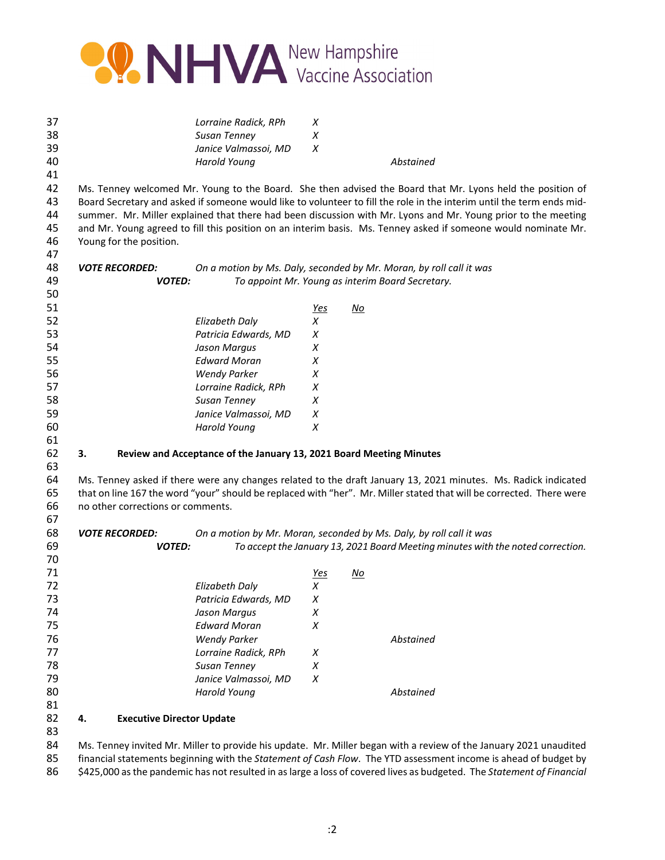

| 37<br>38<br>39<br>40<br>41       |    |                                   | Lorraine Radick, RPh<br>Susan Tenney<br>Janice Valmassoi, MD<br><b>Harold Young</b> | X<br>X<br>X |                                                | Abstained                                                                                                                                                                                                                                                                                                                                                                                                                                                              |
|----------------------------------|----|-----------------------------------|-------------------------------------------------------------------------------------|-------------|------------------------------------------------|------------------------------------------------------------------------------------------------------------------------------------------------------------------------------------------------------------------------------------------------------------------------------------------------------------------------------------------------------------------------------------------------------------------------------------------------------------------------|
| 42<br>43<br>44<br>45<br>46<br>47 |    | Young for the position.           |                                                                                     |             |                                                | Ms. Tenney welcomed Mr. Young to the Board. She then advised the Board that Mr. Lyons held the position of<br>Board Secretary and asked if someone would like to volunteer to fill the role in the interim until the term ends mid-<br>summer. Mr. Miller explained that there had been discussion with Mr. Lyons and Mr. Young prior to the meeting<br>and Mr. Young agreed to fill this position on an interim basis. Ms. Tenney asked if someone would nominate Mr. |
| 48                               |    | <b>VOTE RECORDED:</b>             | On a motion by Ms. Daly, seconded by Mr. Moran, by roll call it was                 |             |                                                |                                                                                                                                                                                                                                                                                                                                                                                                                                                                        |
| 49                               |    | <b>VOTED:</b>                     | To appoint Mr. Young as interim Board Secretary.                                    |             |                                                |                                                                                                                                                                                                                                                                                                                                                                                                                                                                        |
| 50                               |    |                                   |                                                                                     |             |                                                |                                                                                                                                                                                                                                                                                                                                                                                                                                                                        |
| 51                               |    |                                   |                                                                                     | <u>Yes</u>  | $\underline{\mathsf{M}}\underline{\mathsf{o}}$ |                                                                                                                                                                                                                                                                                                                                                                                                                                                                        |
| 52                               |    |                                   | <b>Elizabeth Daly</b>                                                               | X           |                                                |                                                                                                                                                                                                                                                                                                                                                                                                                                                                        |
| 53                               |    |                                   | Patricia Edwards, MD                                                                | Х           |                                                |                                                                                                                                                                                                                                                                                                                                                                                                                                                                        |
| 54                               |    |                                   | Jason Margus                                                                        | Х           |                                                |                                                                                                                                                                                                                                                                                                                                                                                                                                                                        |
| 55                               |    |                                   | <b>Edward Moran</b>                                                                 | X           |                                                |                                                                                                                                                                                                                                                                                                                                                                                                                                                                        |
| 56                               |    |                                   | <b>Wendy Parker</b>                                                                 | X           |                                                |                                                                                                                                                                                                                                                                                                                                                                                                                                                                        |
| 57                               |    |                                   | Lorraine Radick, RPh                                                                | X           |                                                |                                                                                                                                                                                                                                                                                                                                                                                                                                                                        |
| 58                               |    |                                   | Susan Tenney                                                                        | X           |                                                |                                                                                                                                                                                                                                                                                                                                                                                                                                                                        |
| 59                               |    |                                   | Janice Valmassoi, MD                                                                | X           |                                                |                                                                                                                                                                                                                                                                                                                                                                                                                                                                        |
| 60                               |    |                                   | <b>Harold Young</b>                                                                 | $\chi$      |                                                |                                                                                                                                                                                                                                                                                                                                                                                                                                                                        |
| 61                               |    |                                   |                                                                                     |             |                                                |                                                                                                                                                                                                                                                                                                                                                                                                                                                                        |
| 62                               | 3. |                                   | Review and Acceptance of the January 13, 2021 Board Meeting Minutes                 |             |                                                |                                                                                                                                                                                                                                                                                                                                                                                                                                                                        |
| 63                               |    |                                   |                                                                                     |             |                                                |                                                                                                                                                                                                                                                                                                                                                                                                                                                                        |
| 64                               |    |                                   |                                                                                     |             |                                                | Ms. Tenney asked if there were any changes related to the draft January 13, 2021 minutes. Ms. Radick indicated                                                                                                                                                                                                                                                                                                                                                         |
| 65                               |    |                                   |                                                                                     |             |                                                | that on line 167 the word "your" should be replaced with "her". Mr. Miller stated that will be corrected. There were                                                                                                                                                                                                                                                                                                                                                   |
| 66                               |    | no other corrections or comments. |                                                                                     |             |                                                |                                                                                                                                                                                                                                                                                                                                                                                                                                                                        |
| 67                               |    |                                   |                                                                                     |             |                                                |                                                                                                                                                                                                                                                                                                                                                                                                                                                                        |
| 68                               |    | <b>VOTE RECORDED:</b>             | On a motion by Mr. Moran, seconded by Ms. Daly, by roll call it was                 |             |                                                |                                                                                                                                                                                                                                                                                                                                                                                                                                                                        |
| 69                               |    | <b>VOTED:</b>                     |                                                                                     |             |                                                | To accept the January 13, 2021 Board Meeting minutes with the noted correction.                                                                                                                                                                                                                                                                                                                                                                                        |
| 70                               |    |                                   |                                                                                     |             |                                                |                                                                                                                                                                                                                                                                                                                                                                                                                                                                        |
| 71                               |    |                                   |                                                                                     | <u>Yes</u>  | No                                             |                                                                                                                                                                                                                                                                                                                                                                                                                                                                        |
| 72                               |    |                                   | <b>Elizabeth Daly</b>                                                               | X           |                                                |                                                                                                                                                                                                                                                                                                                                                                                                                                                                        |
| 73                               |    |                                   | Patricia Edwards, MD                                                                | X           |                                                |                                                                                                                                                                                                                                                                                                                                                                                                                                                                        |
| 74                               |    |                                   | Jason Margus                                                                        | X           |                                                |                                                                                                                                                                                                                                                                                                                                                                                                                                                                        |
| 75                               |    |                                   | <b>Edward Moran</b>                                                                 | X           |                                                |                                                                                                                                                                                                                                                                                                                                                                                                                                                                        |
| 76                               |    |                                   | <b>Wendy Parker</b>                                                                 |             |                                                | Abstained                                                                                                                                                                                                                                                                                                                                                                                                                                                              |
| 77                               |    |                                   | Lorraine Radick, RPh                                                                | X           |                                                |                                                                                                                                                                                                                                                                                                                                                                                                                                                                        |
| 78                               |    |                                   | Susan Tenney                                                                        | X           |                                                |                                                                                                                                                                                                                                                                                                                                                                                                                                                                        |
| 79                               |    |                                   | Janice Valmassoi, MD                                                                | X           |                                                |                                                                                                                                                                                                                                                                                                                                                                                                                                                                        |
| 80                               |    |                                   | <b>Harold Young</b>                                                                 |             |                                                | Abstained                                                                                                                                                                                                                                                                                                                                                                                                                                                              |
| 81                               |    |                                   |                                                                                     |             |                                                |                                                                                                                                                                                                                                                                                                                                                                                                                                                                        |
| 82                               | 4. | <b>Executive Director Update</b>  |                                                                                     |             |                                                |                                                                                                                                                                                                                                                                                                                                                                                                                                                                        |
| 83                               |    |                                   |                                                                                     |             |                                                |                                                                                                                                                                                                                                                                                                                                                                                                                                                                        |
| 84                               |    |                                   |                                                                                     |             |                                                | Ms. Tenney invited Mr. Miller to provide his update. Mr. Miller began with a review of the January 2021 unaudited                                                                                                                                                                                                                                                                                                                                                      |
| 85                               |    |                                   |                                                                                     |             |                                                | financial statements beginning with the Statement of Cash Flow. The YTD assessment income is ahead of budget by                                                                                                                                                                                                                                                                                                                                                        |

\$425,000 asthe pandemic has not resulted in aslarge a loss of covered lives as budgeted. The *Statement of Financial*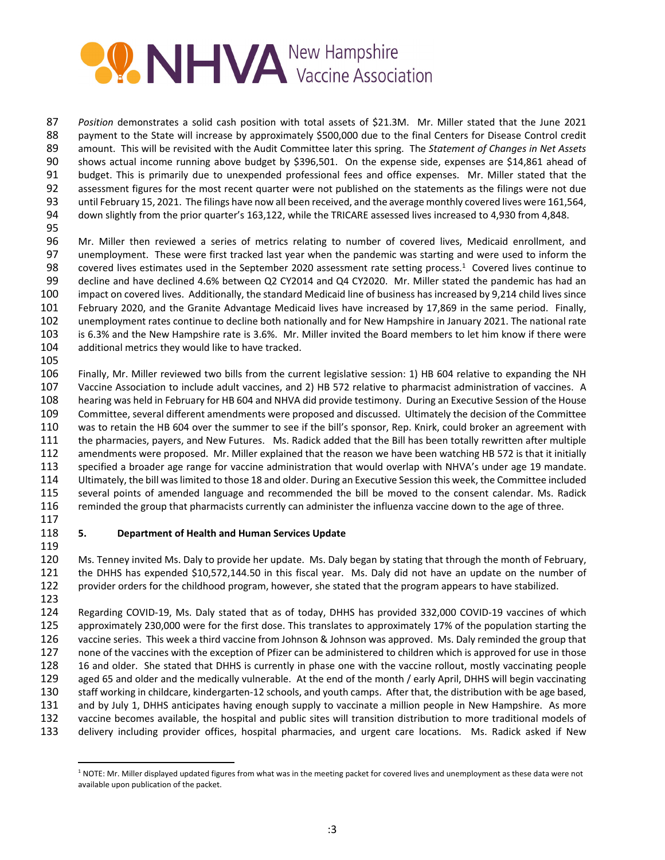

 *Position* demonstrates a solid cash position with total assets of \$21.3M. Mr. Miller stated that the June 2021 payment to the State will increase by approximately \$500,000 due to the final Centers for Disease Control credit amount. This will be revisited with the Audit Committee later this spring. The *Statement of Changes in Net Assets* shows actual income running above budget by \$396,501. On the expense side, expenses are \$14,861 ahead of budget. This is primarily due to unexpended professional fees and office expenses. Mr. Miller stated that the assessment figures for the most recent quarter were not published on the statements as the filings were not due until February 15, 2021. The filings have now all been received, and the average monthly covered lives were 161,564, down slightly from the prior quarter's 163,122, while the TRICARE assessed lives increased to 4,930 from 4,848.

 Mr. Miller then reviewed a series of metrics relating to number of covered lives, Medicaid enrollment, and unemployment. These were first tracked last year when the pandemic was starting and were used to inform the 98 covered lives estimates used in the September 2020 assessment rate setting process.<sup>1</sup> Covered lives continue to decline and have declined 4.6% between Q2 CY2014 and Q4 CY2020. Mr. Miller stated the pandemic has had an impact on covered lives. Additionally, the standard Medicaid line of business has increased by 9,214 child lives since February 2020, and the Granite Advantage Medicaid lives have increased by 17,869 in the same period. Finally, unemployment rates continue to decline both nationally and for New Hampshire in January 2021. The national rate is 6.3% and the New Hampshire rate is 3.6%. Mr. Miller invited the Board members to let him know if there were additional metrics they would like to have tracked.

 Finally, Mr. Miller reviewed two bills from the current legislative session: 1) HB 604 relative to expanding the NH Vaccine Association to include adult vaccines, and 2) HB 572 relative to pharmacist administration of vaccines. A hearing was held in February for HB 604 and NHVA did provide testimony. During an Executive Session of the House Committee, several different amendments were proposed and discussed. Ultimately the decision of the Committee was to retain the HB 604 over the summer to see if the bill's sponsor, Rep. Knirk, could broker an agreement with the pharmacies, payers, and New Futures. Ms. Radick added that the Bill has been totally rewritten after multiple amendments were proposed. Mr. Miller explained that the reason we have been watching HB 572 is that it initially specified a broader age range for vaccine administration that would overlap with NHVA's under age 19 mandate. Ultimately, the bill waslimited to those 18 and older. During an Executive Session this week, the Committee included several points of amended language and recommended the bill be moved to the consent calendar. Ms. Radick reminded the group that pharmacists currently can administer the influenza vaccine down to the age of three.

## **5. Department of Health and Human Services Update**

 Ms. Tenney invited Ms. Daly to provide her update. Ms. Daly began by stating that through the month of February, the DHHS has expended \$10,572,144.50 in this fiscal year. Ms. Daly did not have an update on the number of provider orders for the childhood program, however, she stated that the program appears to have stabilized. 

 Regarding COVID‐19, Ms. Daly stated that as of today, DHHS has provided 332,000 COVID‐19 vaccines of which approximately 230,000 were for the first dose. This translates to approximately 17% of the population starting the vaccine series. This week a third vaccine from Johnson & Johnson was approved. Ms. Daly reminded the group that none of the vaccines with the exception of Pfizer can be administered to children which is approved for use in those 16 and older. She stated that DHHS is currently in phase one with the vaccine rollout, mostly vaccinating people aged 65 and older and the medically vulnerable. At the end of the month / early April, DHHS will begin vaccinating 130 staff working in childcare, kindergarten-12 schools, and youth camps. After that, the distribution with be age based, and by July 1, DHHS anticipates having enough supply to vaccinate a million people in New Hampshire. As more vaccine becomes available, the hospital and public sites will transition distribution to more traditional models of delivery including provider offices, hospital pharmacies, and urgent care locations. Ms. Radick asked if New

<sup>&</sup>lt;sup>1</sup> NOTE: Mr. Miller displayed updated figures from what was in the meeting packet for covered lives and unemployment as these data were not available upon publication of the packet.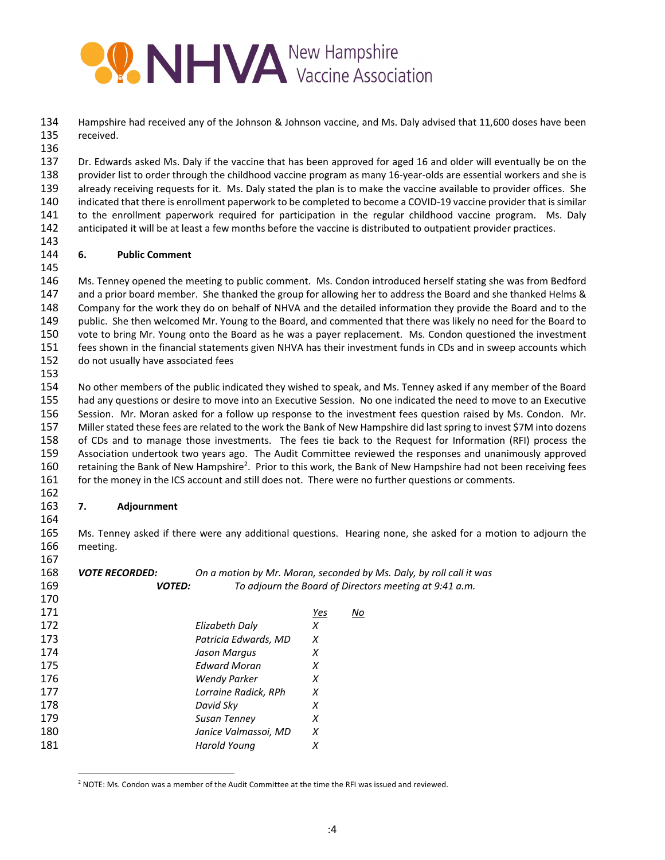

 Hampshire had received any of the Johnson & Johnson vaccine, and Ms. Daly advised that 11,600 doses have been received.

 Dr. Edwards asked Ms. Daly if the vaccine that has been approved for aged 16 and older will eventually be on the 138 provider list to order through the childhood vaccine program as many 16-year-olds are essential workers and she is already receiving requests for it. Ms. Daly stated the plan is to make the vaccine available to provider offices. She 140 indicated that there is enrollment paperwork to be completed to become a COVID-19 vaccine provider that is similar to the enrollment paperwork required for participation in the regular childhood vaccine program. Ms. Daly anticipated it will be at least a few months before the vaccine is distributed to outpatient provider practices.

## **6. Public Comment**

 Ms. Tenney opened the meeting to public comment. Ms. Condon introduced herself stating she was from Bedford and a prior board member. She thanked the group for allowing her to address the Board and she thanked Helms & Company for the work they do on behalf of NHVA and the detailed information they provide the Board and to the 149 public. She then welcomed Mr. Young to the Board, and commented that there was likely no need for the Board to vote to bring Mr. Young onto the Board as he was a payer replacement. Ms. Condon questioned the investment fees shown in the financial statements given NHVA has their investment funds in CDs and in sweep accounts which do not usually have associated fees

 No other members of the public indicated they wished to speak, and Ms. Tenney asked if any member of the Board had any questions or desire to move into an Executive Session. No one indicated the need to move to an Executive Session. Mr. Moran asked for a follow up response to the investment fees question raised by Ms. Condon. Mr. Miller stated these fees are related to the work the Bank of New Hampshire did last spring to invest \$7M into dozens 158 of CDs and to manage those investments. The fees tie back to the Request for Information (RFI) process the Association undertook two years ago. The Audit Committee reviewed the responses and unanimously approved 160 retaining the Bank of New Hampshire<sup>2</sup>. Prior to this work, the Bank of New Hampshire had not been receiving fees for the money in the ICS account and still does not. There were no further questions or comments.

## 

## **7. Adjournment**

 Ms. Tenney asked if there were any additional questions. Hearing none, she asked for a motion to adjourn the meeting.

| 168 | <b>VOTE RECORDED:</b> |                      |            | On a motion by Mr. Moran, seconded by Ms. Daly, by roll call it was |
|-----|-----------------------|----------------------|------------|---------------------------------------------------------------------|
| 169 | <b>VOTED:</b>         |                      |            | To adjourn the Board of Directors meeting at 9:41 a.m.              |
| 170 |                       |                      |            |                                                                     |
| 171 |                       |                      | <u>Yes</u> | No                                                                  |
| 172 |                       | Elizabeth Daly       | X          |                                                                     |
| 173 |                       | Patricia Edwards, MD | X          |                                                                     |
| 174 |                       | Jason Margus         | x          |                                                                     |
| 175 |                       | <b>Edward Moran</b>  | X          |                                                                     |
| 176 |                       | Wendy Parker         | X          |                                                                     |
| 177 |                       | Lorraine Radick, RPh | x          |                                                                     |
| 178 |                       | David Sky            | x          |                                                                     |
| 179 |                       | Susan Tenney         | х          |                                                                     |
| 180 |                       | Janice Valmassoi, MD | X          |                                                                     |
| 181 |                       | Harold Young         | X          |                                                                     |
|     |                       |                      |            |                                                                     |

NOTE: Ms. Condon was a member of the Audit Committee at the time the RFI was issued and reviewed.